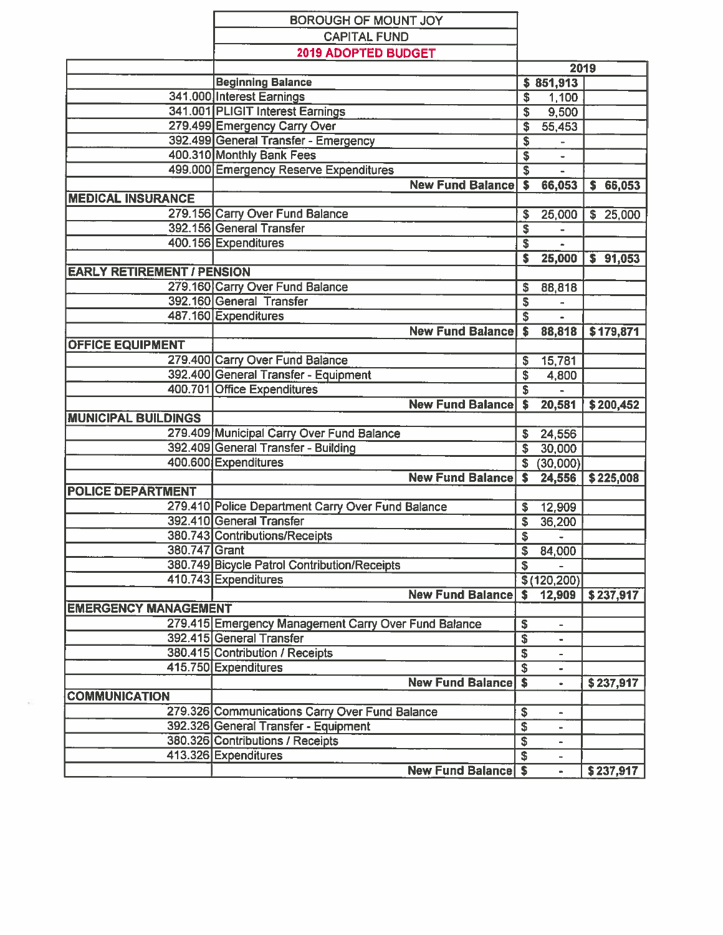|                                   | BOROUGH OF MOUNT JOY                                                             |                                                    |                                    |                 |
|-----------------------------------|----------------------------------------------------------------------------------|----------------------------------------------------|------------------------------------|-----------------|
|                                   | <b>CAPITAL FUND</b>                                                              |                                                    |                                    |                 |
|                                   | 2019 ADOPTED BUDGET                                                              |                                                    |                                    |                 |
|                                   |                                                                                  | 2019                                               |                                    |                 |
|                                   | <b>Beginning Balance</b>                                                         |                                                    | \$851,913                          |                 |
|                                   | 341.000 Interest Earnings                                                        | \$                                                 | 1,100                              |                 |
|                                   | 341.001 PLIGIT Interest Earnings                                                 | S                                                  | 9,500                              |                 |
|                                   | 279.499 Emergency Carry Over                                                     | \$                                                 | 55,453                             |                 |
|                                   | 392.499 General Transfer - Emergency                                             | \$                                                 |                                    |                 |
|                                   | 400.310 Monthly Bank Fees                                                        | \$                                                 |                                    |                 |
|                                   | 499.000 Emergency Reserve Expenditures                                           | $\overline{\mathbf{s}}$                            |                                    |                 |
|                                   | <b>New Fund Balance</b>                                                          | S                                                  | 66,053                             | \$66,053        |
| <b>MEDICAL INSURANCE</b>          |                                                                                  |                                                    |                                    |                 |
|                                   | 279.156 Carry Over Fund Balance                                                  | \$                                                 | 25,000                             | $\sqrt{25,000}$ |
|                                   | 392.156 General Transfer                                                         | \$                                                 |                                    |                 |
|                                   | 400.156 Expenditures                                                             | \$                                                 |                                    |                 |
|                                   |                                                                                  | S                                                  | 25,000                             | \$91,053        |
| <b>EARLY RETIREMENT / PENSION</b> |                                                                                  |                                                    |                                    |                 |
|                                   | 279.160 Carry Over Fund Balance                                                  | S                                                  | 88,818                             |                 |
|                                   | 392.160 General Transfer                                                         | \$                                                 |                                    |                 |
|                                   | 487.160 Expenditures                                                             | $\overline{\mathbf{s}}$                            |                                    |                 |
|                                   | <b>New Fund Balance</b>                                                          | $\overline{\bullet}$                               | 88,818                             | \$179,871       |
| <b>OFFICE EQUIPMENT</b>           |                                                                                  |                                                    |                                    |                 |
|                                   | 279.400 Carry Over Fund Balance                                                  | \$                                                 | 15,781                             |                 |
|                                   | 392.400 General Transfer - Equipment                                             | \$                                                 | 4,800                              |                 |
|                                   | 400.701 Office Expenditures                                                      | S                                                  |                                    |                 |
|                                   | <b>New Fund Balance</b>                                                          | S                                                  | 20,581                             | \$200,452       |
| <b>MUNICIPAL BUILDINGS</b>        |                                                                                  |                                                    |                                    |                 |
|                                   | 279.409 Municipal Carry Over Fund Balance                                        | \$                                                 | 24,556                             |                 |
|                                   | 392.409 General Transfer - Building                                              | $\overline{\mathbf{s}}$                            | 30,000                             |                 |
|                                   | 400.600 Expenditures                                                             |                                                    |                                    |                 |
|                                   | <b>New Fund Balance</b>                                                          | S.<br>s                                            | (30,000)                           |                 |
| <b>POLICE DEPARTMENT</b>          |                                                                                  |                                                    | 24,556                             | \$225,008       |
|                                   | 279.410 Police Department Carry Over Fund Balance                                |                                                    |                                    |                 |
|                                   | 392.410 General Transfer                                                         | \$                                                 | 12,909                             |                 |
|                                   | 380.743 Contributions/Receipts                                                   | \$                                                 | 36,200                             |                 |
| 380.747 Grant                     |                                                                                  | $\overline{\mathbf{s}}$                            | $\overline{\phantom{a}}$<br>84,000 |                 |
|                                   | 380.749 Bicycle Patrol Contribution/Receipts                                     | $\overline{\mathbf{3}}$<br>$\overline{\mathbf{s}}$ |                                    |                 |
|                                   | 410.743 Expenditures                                                             |                                                    |                                    |                 |
|                                   | <b>New Fund Balance</b>                                                          |                                                    | $\sqrt{3(120, 200)}$               |                 |
| <b>EMERGENCY MANAGEMENT</b>       |                                                                                  | \$                                                 | 12,909                             | \$237,917       |
|                                   |                                                                                  |                                                    |                                    |                 |
|                                   | 279.415 Emergency Management Carry Over Fund Balance<br>392.415 General Transfer | \$<br>$\overline{\$}$                              |                                    |                 |
|                                   |                                                                                  |                                                    |                                    |                 |
|                                   | 380.415 Contribution / Receipts                                                  | \$                                                 |                                    |                 |
|                                   | 415.750 Expenditures                                                             | $\overline{\$}$                                    |                                    |                 |
|                                   | <b>New Fund Balance</b>                                                          | $\overline{\boldsymbol{s}}$                        | $\bullet$                          | \$237,917       |
| <b>COMMUNICATION</b>              |                                                                                  |                                                    |                                    |                 |
|                                   | 279.326 Communications Carry Over Fund Balance                                   | \$                                                 | ۰                                  |                 |
|                                   | 392.326 General Transfer - Equipment                                             | \$                                                 | $\qquad \qquad \blacksquare$       |                 |
|                                   | 380.326 Contributions / Receipts                                                 | $\overline{\$}$                                    | $\overline{\phantom{0}}$           |                 |
|                                   | 413.326 Expenditures                                                             | $\overline{\mathbb{S}}$                            |                                    |                 |
|                                   | <b>New Fund Balance \$</b>                                                       |                                                    | ÷                                  | \$237,917       |

f